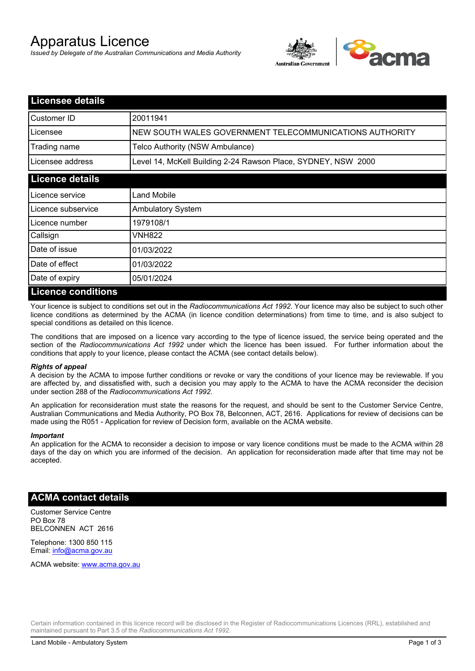# Apparatus Licence

*Issued by Delegate of the Australian Communications and Media Authority*



| <b>Licensee details</b>    |                                                               |
|----------------------------|---------------------------------------------------------------|
| Customer ID                | 20011941                                                      |
| Licensee                   | NEW SOUTH WALES GOVERNMENT TELECOMMUNICATIONS AUTHORITY       |
| Trading name               | Telco Authority (NSW Ambulance)                               |
| Licensee address           | Level 14, McKell Building 2-24 Rawson Place, SYDNEY, NSW 2000 |
| <b>Licence details</b>     |                                                               |
| Licence service            | Land Mobile                                                   |
| Licence subservice         | <b>Ambulatory System</b>                                      |
| Licence number             | 1979108/1                                                     |
| Callsign                   | VNH822                                                        |
| Date of issue              | 01/03/2022                                                    |
| Date of effect             | 01/03/2022                                                    |
| Date of expiry             | 05/01/2024                                                    |
| <u>I icence conditions</u> |                                                               |

## **Licence conditions**

Your licence is subject to conditions set out in the *Radiocommunications Act 1992*. Your licence may also be subject to such other licence conditions as determined by the ACMA (in licence condition determinations) from time to time, and is also subject to special conditions as detailed on this licence.

The conditions that are imposed on a licence vary according to the type of licence issued, the service being operated and the section of the *Radiocommunications Act 1992* under which the licence has been issued. For further information about the conditions that apply to your licence, please contact the ACMA (see contact details below).

#### *Rights of appeal*

A decision by the ACMA to impose further conditions or revoke or vary the conditions of your licence may be reviewable. If you are affected by, and dissatisfied with, such a decision you may apply to the ACMA to have the ACMA reconsider the decision under section 288 of the *Radiocommunications Act 1992*.

An application for reconsideration must state the reasons for the request, and should be sent to the Customer Service Centre, Australian Communications and Media Authority, PO Box 78, Belconnen, ACT, 2616. Applications for review of decisions can be made using the R051 - Application for review of Decision form, available on the ACMA website.

#### *Important*

An application for the ACMA to reconsider a decision to impose or vary licence conditions must be made to the ACMA within 28 days of the day on which you are informed of the decision. An application for reconsideration made after that time may not be accepted.

#### **ACMA contact details**

Customer Service Centre PO Box 78 BELCONNEN ACT 2616

Telephone: 1300 850 115 Email: info@acma.gov.au

ACMA website: www.acma.gov.au

Certain information contained in this licence record will be disclosed in the Register of Radiocommunications Licences (RRL), established and maintained pursuant to Part 3.5 of the *Radiocommunications Act 1992.*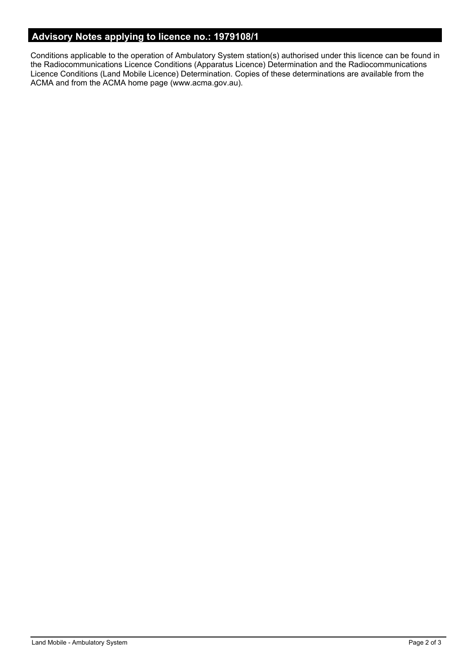## **Advisory Notes applying to licence no.: 1979108/1**

Conditions applicable to the operation of Ambulatory System station(s) authorised under this licence can be found in the Radiocommunications Licence Conditions (Apparatus Licence) Determination and the Radiocommunications Licence Conditions (Land Mobile Licence) Determination. Copies of these determinations are available from the ACMA and from the ACMA home page (www.acma.gov.au).